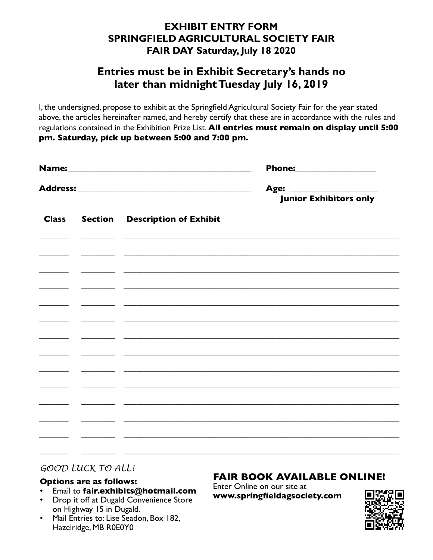## **EXHIBIT ENTRY FORM SPRINGFIELD AGRICULTURAL SOCIETY FAIR FAIR DAY Saturday, July 18 2020**

# **Entries must be in Exhibit Secretary's hands no later than midnight Tuesday July 16, 2019**

I, the undersigned, propose to exhibit at the Springfield Agricultural Society Fair for the year stated above, the articles hereinafter named, and hereby certify that these are in accordance with the rules and regulations contained in the Exhibition Prize List. **All entries must remain on display until 5:00 pm. Saturday, pick up between 5:00 and 7:00 pm.**

|              |                                                   |                                                                                                                                                                                                                                                | <b>Phone:__________________</b> |
|--------------|---------------------------------------------------|------------------------------------------------------------------------------------------------------------------------------------------------------------------------------------------------------------------------------------------------|---------------------------------|
|              |                                                   |                                                                                                                                                                                                                                                | <b>Junior Exhibitors only</b>   |
| <b>Class</b> |                                                   | <b>Section</b> Description of Exhibit                                                                                                                                                                                                          |                                 |
|              |                                                   | <u> 1989 - Johann John Stone, markin sanat masjid ayyı bir alan bir alan bir alan bir alan bir alan bir alan bir</u>                                                                                                                           |                                 |
|              | <u> The Communication of the Communication of</u> |                                                                                                                                                                                                                                                |                                 |
|              |                                                   | ,我们也不能在这里的时候,我们也不能在这里的时候,我们也不能会在这里的时候,我们也不能会在这里的时候,我们也不能会在这里的时候,我们也不能会在这里的时候,我们也不                                                                                                                                                              |                                 |
|              |                                                   |                                                                                                                                                                                                                                                |                                 |
|              |                                                   | <u> 1989 - Johann Stoff, deutscher Stoff, der Stoff, der Stoff, der Stoff, der Stoff, der Stoff, der Stoff, der S</u><br><u> 1989 - Johann Stoff, deutscher Stoff, der Stoff, der Stoff, der Stoff, der Stoff, der Stoff, der Stoff, der S</u> |                                 |
|              |                                                   |                                                                                                                                                                                                                                                |                                 |
|              |                                                   |                                                                                                                                                                                                                                                |                                 |
|              |                                                   |                                                                                                                                                                                                                                                |                                 |

### *GOOD LUCK TO ALL!*

#### **Options are as follows:**

#### • Email to **fair.exhibits@hotmail.com**

- Drop it off at Dugald Convenience Store on Highway 15 in Dugald.
- Mail Entries to: Lise Seadon, Box 182, Hazelridge, MB R0E0Y0

## **FAIR BOOK AVAILABLE ONLINE!**

Enter Online on our site at **www.springfieldagsociety.com**